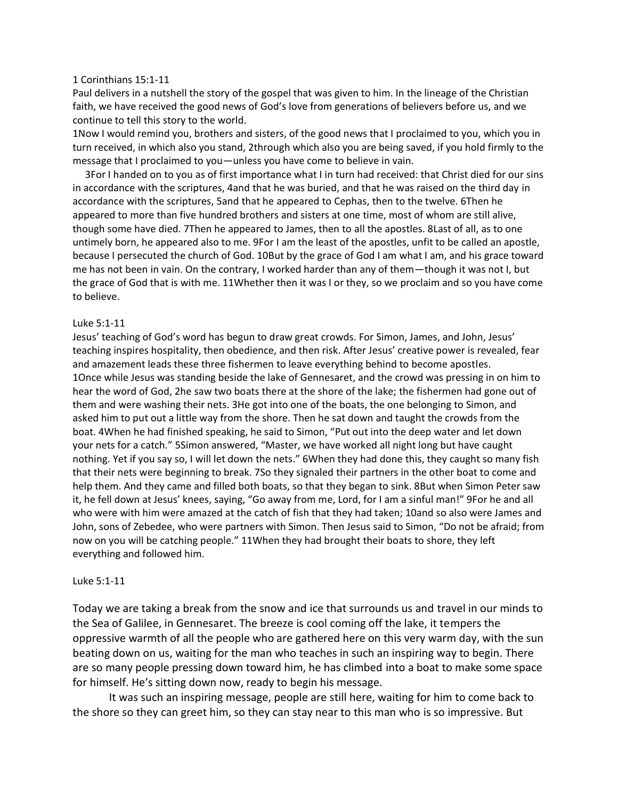## 1 Corinthians 15:1-11

Paul delivers in a nutshell the story of the gospel that was given to him. In the lineage of the Christian faith, we have received the good news of God's love from generations of believers before us, and we continue to tell this story to the world.

1Now I would remind you, brothers and sisters, of the good news that I proclaimed to you, which you in turn received, in which also you stand, 2through which also you are being saved, if you hold firmly to the message that I proclaimed to you—unless you have come to believe in vain.

3For I handed on to you as of first importance what I in turn had received: that Christ died for our sins in accordance with the scriptures, 4and that he was buried, and that he was raised on the third day in accordance with the scriptures, 5and that he appeared to Cephas, then to the twelve. 6Then he appeared to more than five hundred brothers and sisters at one time, most of whom are still alive, though some have died. 7Then he appeared to James, then to all the apostles. 8Last of all, as to one untimely born, he appeared also to me. 9For I am the least of the apostles, unfit to be called an apostle, because I persecuted the church of God. 10But by the grace of God I am what I am, and his grace toward me has not been in vain. On the contrary, I worked harder than any of them—though it was not I, but the grace of God that is with me. 11Whether then it was I or they, so we proclaim and so you have come to believe.

## Luke 5:1-11

Jesus' teaching of God's word has begun to draw great crowds. For Simon, James, and John, Jesus' teaching inspires hospitality, then obedience, and then risk. After Jesus' creative power is revealed, fear and amazement leads these three fishermen to leave everything behind to become apostles. 1Once while Jesus was standing beside the lake of Gennesaret, and the crowd was pressing in on him to hear the word of God, 2he saw two boats there at the shore of the lake; the fishermen had gone out of them and were washing their nets. 3He got into one of the boats, the one belonging to Simon, and asked him to put out a little way from the shore. Then he sat down and taught the crowds from the boat. 4When he had finished speaking, he said to Simon, "Put out into the deep water and let down your nets for a catch." 5Simon answered, "Master, we have worked all night long but have caught nothing. Yet if you say so, I will let down the nets." 6When they had done this, they caught so many fish that their nets were beginning to break. 7So they signaled their partners in the other boat to come and help them. And they came and filled both boats, so that they began to sink. 8But when Simon Peter saw it, he fell down at Jesus' knees, saying, "Go away from me, Lord, for I am a sinful man!" 9For he and all who were with him were amazed at the catch of fish that they had taken; 10and so also were James and John, sons of Zebedee, who were partners with Simon. Then Jesus said to Simon, "Do not be afraid; from now on you will be catching people." 11When they had brought their boats to shore, they left everything and followed him.

## Luke 5:1-11

Today we are taking a break from the snow and ice that surrounds us and travel in our minds to the Sea of Galilee, in Gennesaret. The breeze is cool coming off the lake, it tempers the oppressive warmth of all the people who are gathered here on this very warm day, with the sun beating down on us, waiting for the man who teaches in such an inspiring way to begin. There are so many people pressing down toward him, he has climbed into a boat to make some space for himself. He's sitting down now, ready to begin his message.

It was such an inspiring message, people are still here, waiting for him to come back to the shore so they can greet him, so they can stay near to this man who is so impressive. But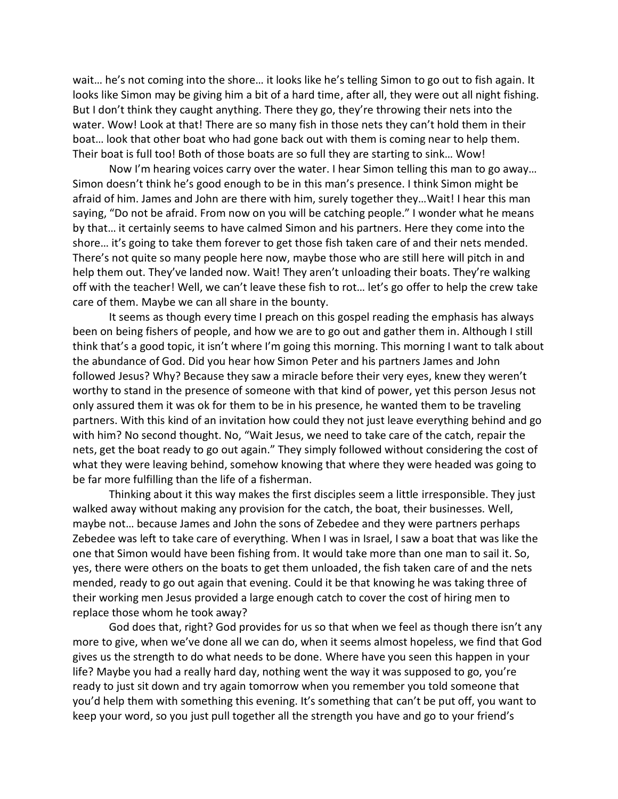wait… he's not coming into the shore… it looks like he's telling Simon to go out to fish again. It looks like Simon may be giving him a bit of a hard time, after all, they were out all night fishing. But I don't think they caught anything. There they go, they're throwing their nets into the water. Wow! Look at that! There are so many fish in those nets they can't hold them in their boat… look that other boat who had gone back out with them is coming near to help them. Their boat is full too! Both of those boats are so full they are starting to sink… Wow!

Now I'm hearing voices carry over the water. I hear Simon telling this man to go away… Simon doesn't think he's good enough to be in this man's presence. I think Simon might be afraid of him. James and John are there with him, surely together they…Wait! I hear this man saying, "Do not be afraid. From now on you will be catching people." I wonder what he means by that… it certainly seems to have calmed Simon and his partners. Here they come into the shore… it's going to take them forever to get those fish taken care of and their nets mended. There's not quite so many people here now, maybe those who are still here will pitch in and help them out. They've landed now. Wait! They aren't unloading their boats. They're walking off with the teacher! Well, we can't leave these fish to rot… let's go offer to help the crew take care of them. Maybe we can all share in the bounty.

It seems as though every time I preach on this gospel reading the emphasis has always been on being fishers of people, and how we are to go out and gather them in. Although I still think that's a good topic, it isn't where I'm going this morning. This morning I want to talk about the abundance of God. Did you hear how Simon Peter and his partners James and John followed Jesus? Why? Because they saw a miracle before their very eyes, knew they weren't worthy to stand in the presence of someone with that kind of power, yet this person Jesus not only assured them it was ok for them to be in his presence, he wanted them to be traveling partners. With this kind of an invitation how could they not just leave everything behind and go with him? No second thought. No, "Wait Jesus, we need to take care of the catch, repair the nets, get the boat ready to go out again." They simply followed without considering the cost of what they were leaving behind, somehow knowing that where they were headed was going to be far more fulfilling than the life of a fisherman.

Thinking about it this way makes the first disciples seem a little irresponsible. They just walked away without making any provision for the catch, the boat, their businesses. Well, maybe not… because James and John the sons of Zebedee and they were partners perhaps Zebedee was left to take care of everything. When I was in Israel, I saw a boat that was like the one that Simon would have been fishing from. It would take more than one man to sail it. So, yes, there were others on the boats to get them unloaded, the fish taken care of and the nets mended, ready to go out again that evening. Could it be that knowing he was taking three of their working men Jesus provided a large enough catch to cover the cost of hiring men to replace those whom he took away?

God does that, right? God provides for us so that when we feel as though there isn't any more to give, when we've done all we can do, when it seems almost hopeless, we find that God gives us the strength to do what needs to be done. Where have you seen this happen in your life? Maybe you had a really hard day, nothing went the way it was supposed to go, you're ready to just sit down and try again tomorrow when you remember you told someone that you'd help them with something this evening. It's something that can't be put off, you want to keep your word, so you just pull together all the strength you have and go to your friend's